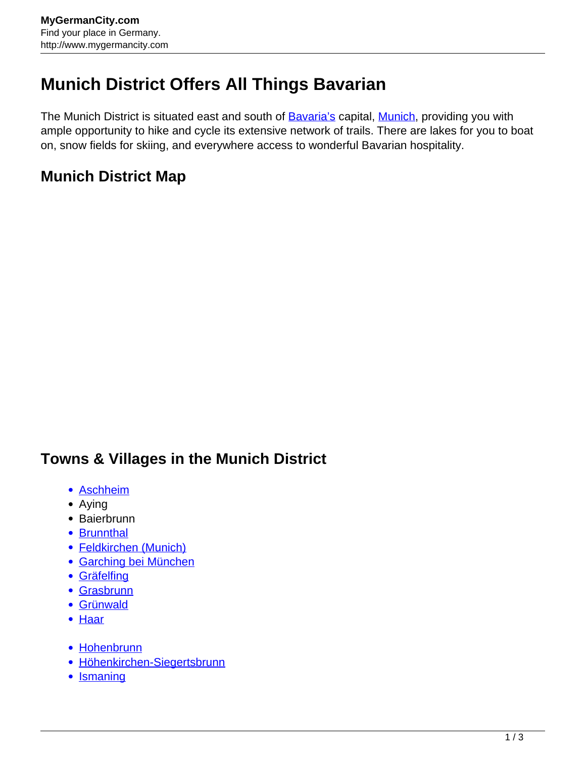## **Munich District Offers All Things Bavarian**

The Munich District is situated east and south of **Bavaria's capital, Munich**, providing you with ample opportunity to hike and cycle its extensive network of trails. There are lakes for you to boat on, snow fields for skiing, and everywhere access to wonderful Bavarian hospitality.

## **Munich District Map**

## **Towns & Villages in the Munich District**

- [Aschheim](http://www.mygermancity.com/aschheim)
- Aying
- Baierbrunn
- [Brunnthal](http://www.mygermancity.com/brunnthal)
- [Feldkirchen \(Munich\)](http://www.mygermancity.com/feldkirchen-munich)
- [Garching bei München](http://www.mygermancity.com/garching-bei-muenchen)
- [Gräfelfing](http://www.mygermancity.com/graefelfing)
- [Grasbrunn](http://www.mygermancity.com/grasbrunn)
- [Grünwald](http://www.mygermancity.com/gruenwald)
- [Haar](http://www.mygermancity.com/haar)
- [Hohenbrunn](http://www.mygermancity.com/hohenbrunn)
- [Höhenkirchen-Siegertsbrunn](http://www.mygermancity.com/hoehenkirchen-siegertsbrunn)
- [Ismaning](http://www.mygermancity.com/ismaning)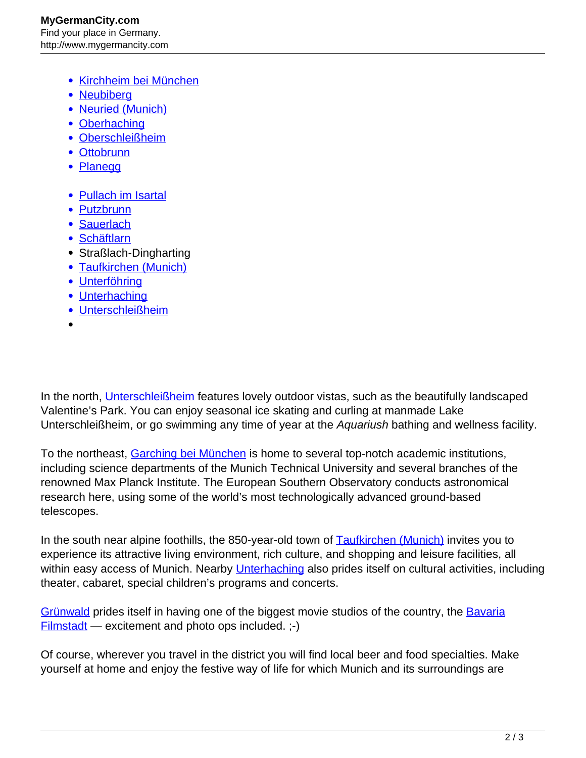- [Kirchheim bei München](http://www.mygermancity.com/kirchheim-bei-muenchen)
- [Neubiberg](http://www.mygermancity.com/neubiberg)
- [Neuried \(Munich\)](http://www.mygermancity.com/neuried-munich)
- [Oberhaching](http://www.mygermancity.com/oberhaching)
- [Oberschleißheim](http://www.mygermancity.com/oberschleissheim)
- [Ottobrunn](http://www.mygermancity.com/ottobrunn)
- [Planegg](http://www.mygermancity.com/planegg)
- [Pullach im Isartal](http://www.mygermancity.com/pullach)
- [Putzbrunn](http://www.mygermancity.com/putzbrunn)
- [Sauerlach](http://www.mygermancity.com/sauerlach)
- [Schäftlarn](http://www.mygermancity.com/schaeftlarn)
- Straßlach-Dingharting
- [Taufkirchen \(Munich\)](http://www.mygermancity.com/taufkirchen-munich)
- [Unterföhring](http://www.mygermancity.com/unterfoehring)
- [Unterhaching](http://www.mygermancity.com/unterhaching)
- [Unterschleißheim](http://www.mygermancity.com/unterschleissheim)
- 

In the north, [Unterschleißheim](http://www.mygermancity.com/unterschleissheim) features lovely outdoor vistas, such as the beautifully landscaped Valentine's Park. You can enjoy seasonal ice skating and curling at manmade Lake Unterschleißheim, or go swimming any time of year at the Aquariush bathing and wellness facility.

To the northeast, [Garching bei München](http://www.mygermancity.com/garching-bei-muenchen) is home to several top-notch academic institutions, including science departments of the Munich Technical University and several branches of the renowned Max Planck Institute. The European Southern Observatory conducts astronomical research here, using some of the world's most technologically advanced ground-based telescopes.

In the south near alpine foothills, the 850-year-old town of **Taufkirchen (Munich)** invites you to experience its attractive living environment, rich culture, and shopping and leisure facilities, all within easy access of Munich. Nearby [Unterhaching](http://www.mygermancity.com/unterhaching) also prides itself on cultural activities, including theater, cabaret, special children's programs and concerts.

[Grünwald](http://www.mygermancity.com/gruenwald) prides itself in having one of the biggest movie studios of the country, the [Bavaria](http://www.mygermancity.com/bavaria-filmstadt)  $Filmstadt$  — excitement and photo ops included.  $;-$ )

Of course, wherever you travel in the district you will find local beer and food specialties. Make yourself at home and enjoy the festive way of life for which Munich and its surroundings are